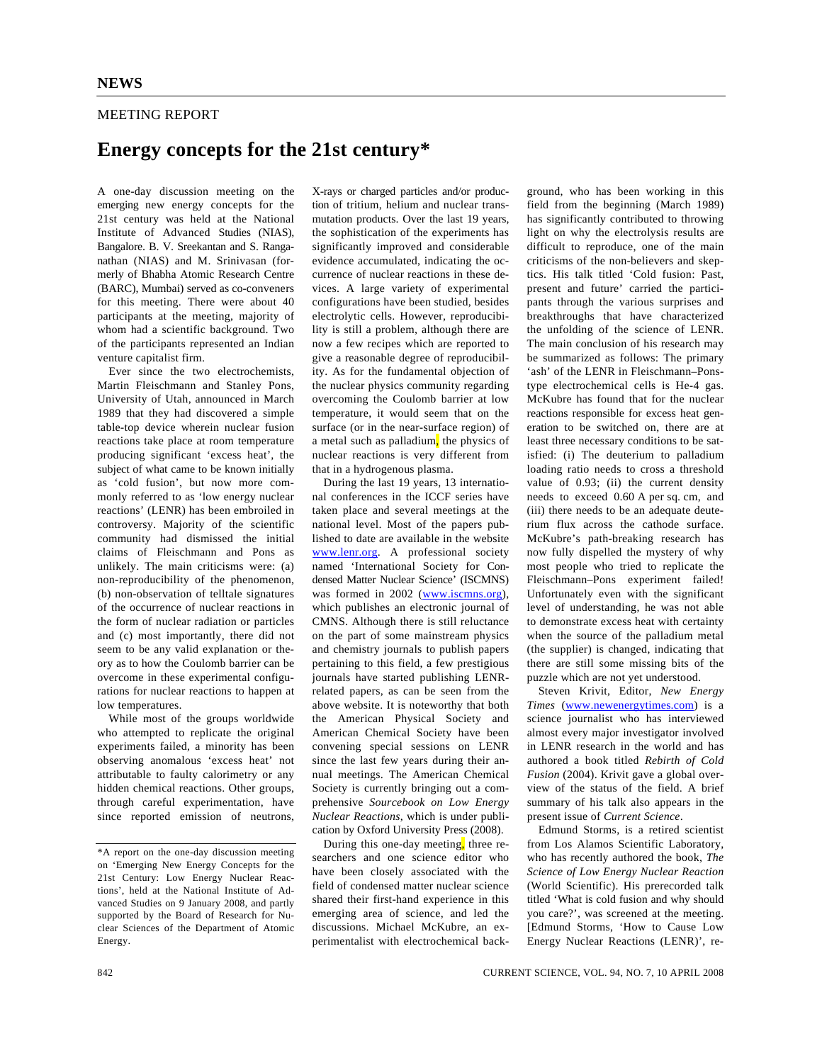## MEETING REPORT

## **Energy concepts for the 21st century\***

A one-day discussion meeting on the emerging new energy concepts for the 21st century was held at the National Institute of Advanced Studies (NIAS), Bangalore. B. V. Sreekantan and S. Ranganathan (NIAS) and M. Srinivasan (formerly of Bhabha Atomic Research Centre (BARC), Mumbai) served as co-conveners for this meeting. There were about 40 participants at the meeting, majority of whom had a scientific background. Two of the participants represented an Indian venture capitalist firm.

 Ever since the two electrochemists, Martin Fleischmann and Stanley Pons, University of Utah, announced in March 1989 that they had discovered a simple table-top device wherein nuclear fusion reactions take place at room temperature producing significant 'excess heat', the subject of what came to be known initially as 'cold fusion', but now more commonly referred to as 'low energy nuclear reactions' (LENR) has been embroiled in controversy. Majority of the scientific community had dismissed the initial claims of Fleischmann and Pons as unlikely. The main criticisms were: (a) non-reproducibility of the phenomenon, (b) non-observation of telltale signatures of the occurrence of nuclear reactions in the form of nuclear radiation or particles and (c) most importantly, there did not seem to be any valid explanation or theory as to how the Coulomb barrier can be overcome in these experimental configurations for nuclear reactions to happen at low temperatures.

 While most of the groups worldwide who attempted to replicate the original experiments failed, a minority has been observing anomalous 'excess heat' not attributable to faulty calorimetry or any hidden chemical reactions. Other groups, through careful experimentation, have since reported emission of neutrons,

X-rays or charged particles and/or production of tritium, helium and nuclear transmutation products. Over the last 19 years, the sophistication of the experiments has significantly improved and considerable evidence accumulated, indicating the occurrence of nuclear reactions in these devices. A large variety of experimental configurations have been studied, besides electrolytic cells. However, reproducibility is still a problem, although there are now a few recipes which are reported to give a reasonable degree of reproducibility. As for the fundamental objection of the nuclear physics community regarding overcoming the Coulomb barrier at low temperature, it would seem that on the surface (or in the near-surface region) of a metal such as palladium, the physics of nuclear reactions is very different from that in a hydrogenous plasma.

 During the last 19 years, 13 international conferences in the ICCF series have taken place and several meetings at the national level. Most of the papers published to date are available in the website www.lenr.org. A professional society named 'International Society for Condensed Matter Nuclear Science' (ISCMNS) was formed in 2002 (www.iscmns.org), which publishes an electronic journal of CMNS. Although there is still reluctance on the part of some mainstream physics and chemistry journals to publish papers pertaining to this field, a few prestigious journals have started publishing LENRrelated papers, as can be seen from the above website. It is noteworthy that both the American Physical Society and American Chemical Society have been convening special sessions on LENR since the last few years during their annual meetings. The American Chemical Society is currently bringing out a comprehensive *Sourcebook on Low Energy Nuclear Reactions*, which is under publication by Oxford University Press (2008).

During this one-day meeting, three researchers and one science editor who have been closely associated with the field of condensed matter nuclear science shared their first-hand experience in this emerging area of science, and led the discussions. Michael McKubre, an experimentalist with electrochemical back-

ground, who has been working in this field from the beginning (March 1989) has significantly contributed to throwing light on why the electrolysis results are difficult to reproduce, one of the main criticisms of the non-believers and skeptics. His talk titled 'Cold fusion: Past, present and future' carried the participants through the various surprises and breakthroughs that have characterized the unfolding of the science of LENR. The main conclusion of his research may be summarized as follows: The primary 'ash' of the LENR in Fleischmann–Ponstype electrochemical cells is He-4 gas. McKubre has found that for the nuclear reactions responsible for excess heat generation to be switched on, there are at least three necessary conditions to be satisfied: (i) The deuterium to palladium loading ratio needs to cross a threshold value of 0.93; (ii) the current density needs to exceed 0.60 A per sq. cm, and (iii) there needs to be an adequate deuterium flux across the cathode surface. McKubre's path-breaking research has now fully dispelled the mystery of why most people who tried to replicate the Fleischmann–Pons experiment failed! Unfortunately even with the significant level of understanding, he was not able to demonstrate excess heat with certainty when the source of the palladium metal (the supplier) is changed, indicating that there are still some missing bits of the puzzle which are not yet understood.

 Steven Krivit, Editor, *New Energy Times* (www.newenergytimes.com) is a science journalist who has interviewed almost every major investigator involved in LENR research in the world and has authored a book titled *Rebirth of Cold Fusion* (2004). Krivit gave a global overview of the status of the field. A brief summary of his talk also appears in the present issue of *Current Science*.

 Edmund Storms, is a retired scientist from Los Alamos Scientific Laboratory, who has recently authored the book, *The Science of Low Energy Nuclear Reaction* (World Scientific). His prerecorded talk titled 'What is cold fusion and why should you care?', was screened at the meeting. [Edmund Storms, 'How to Cause Low Energy Nuclear Reactions (LENR)', re-

<sup>\*</sup>A report on the one-day discussion meeting on 'Emerging New Energy Concepts for the 21st Century: Low Energy Nuclear Reactions', held at the National Institute of Advanced Studies on 9 January 2008, and partly supported by the Board of Research for Nuclear Sciences of the Department of Atomic Energy.